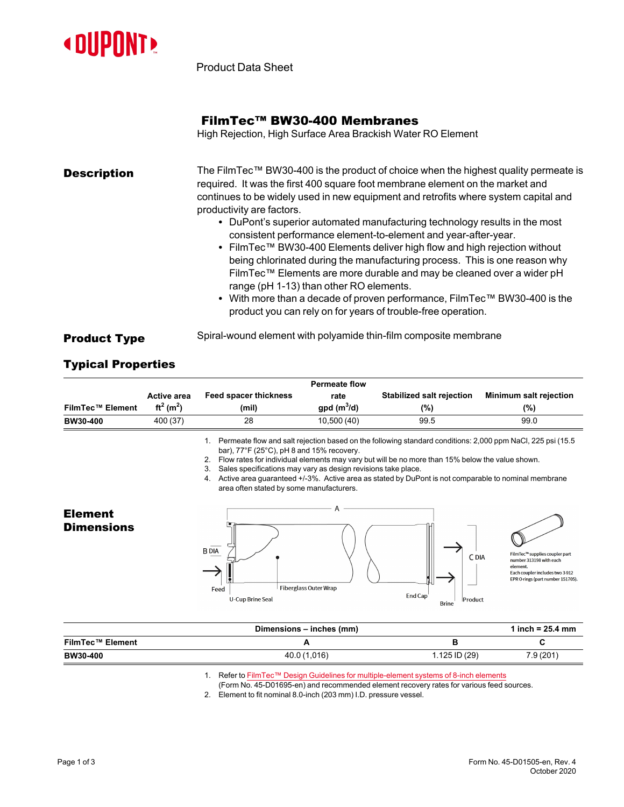

Product Data Sheet

## FilmTec™ BW30-400 Membranes

High Rejection, High Surface Area Brackish Water RO Element

| <b>Description</b> | The FilmTec™ BW30-400 is the product of choice when the highest quality permeate is<br>required. It was the first 400 square foot membrane element on the market and<br>continues to be widely used in new equipment and retrofits where system capital and<br>productivity are factors.<br>• DuPont's superior automated manufacturing technology results in the most<br>consistent performance element-to-element and year-after-year.<br>• FilmTec™ BW30-400 Elements deliver high flow and high rejection without<br>being chlorinated during the manufacturing process. This is one reason why<br>FilmTec™ Elements are more durable and may be cleaned over a wider pH<br>range (pH 1-13) than other RO elements.<br>• With more than a decade of proven performance, FilmTec <sup>™</sup> BW30-400 is the |
|--------------------|------------------------------------------------------------------------------------------------------------------------------------------------------------------------------------------------------------------------------------------------------------------------------------------------------------------------------------------------------------------------------------------------------------------------------------------------------------------------------------------------------------------------------------------------------------------------------------------------------------------------------------------------------------------------------------------------------------------------------------------------------------------------------------------------------------------|
|                    | product you can rely on for years of trouble-free operation.                                                                                                                                                                                                                                                                                                                                                                                                                                                                                                                                                                                                                                                                                                                                                     |

## **Product Type** Spiral-wound element with polyamide thin-film composite membrane

## Typical Properties

|                  | <b>Permeate flow</b>              |                              |              |                           |                               |
|------------------|-----------------------------------|------------------------------|--------------|---------------------------|-------------------------------|
|                  | <b>Active area</b>                | <b>Feed spacer thickness</b> | rate         | Stabilized salt rejection | <b>Minimum salt rejection</b> |
| FilmTec™ Element | ft <sup>2</sup> (m <sup>2</sup> ) | (mil)                        | $qpd(m^3/d)$ | (%)                       | (%)                           |
| <b>BW30-400</b>  | 400 (37)                          | 28                           | 10,500(40)   | 99.5                      | 99.0                          |

1. Permeate flow and salt rejection based on the following standard conditions: 2,000 ppm NaCl, 225 psi (15.5 bar), 77°F (25°C), pH 8 and 15% recovery.

2. Flow rates for individual elements may vary but will be no more than 15% below the value shown.<br>3. Sales specifications may vary as design revisions take place

Sales specifications may vary as design revisions take place.

4. Active area guaranteed +/-3%. Active area as stated by DuPont is not comparable to nominal membrane area often stated by some manufacturers.



|                         | Dimensions - inches (mm) |               | 1 inch = $25.4 \, \text{mm}$ |
|-------------------------|--------------------------|---------------|------------------------------|
| <b>FilmTec™ Element</b> |                          |               |                              |
| <b>BW30-400</b>         | 40.0 (1,016)             | 1.125 ID (29) | 7.9(201)                     |

1. Refer to FilmTec™ Design Guidelines for [multiple-element](https://www.dupont.com/content/dam/dupont/amer/us/en/water-solutions/public/documents/en/RO-NF-FilmTec-Membrane-Sys-Design-Guidelines-8inch-Manual-Exc-45-D01695-en.pdf) systems of 8-inch elements

(Form No. 45-D01695-en) and recommended element recovery rates for various feed sources.

2. Element to fit nominal 8.0-inch (203 mm) I.D. pressure vessel.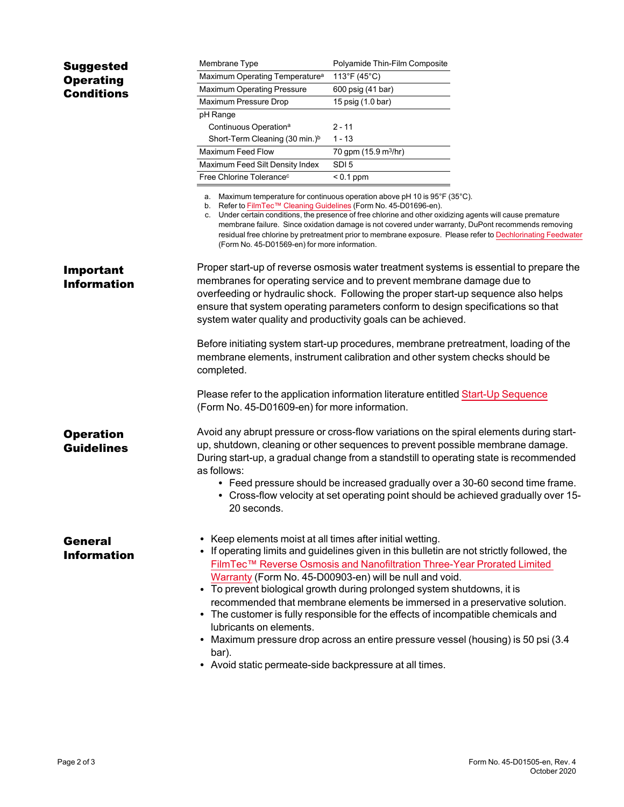| <b>Suggested</b>   | Membrane Type                                                                                                                                                                    | Polyamide Thin-Film Composite                                                                                                                                                                                                                                                                                                                                                                                  |  |
|--------------------|----------------------------------------------------------------------------------------------------------------------------------------------------------------------------------|----------------------------------------------------------------------------------------------------------------------------------------------------------------------------------------------------------------------------------------------------------------------------------------------------------------------------------------------------------------------------------------------------------------|--|
| <b>Operating</b>   | Maximum Operating Temperature <sup>a</sup>                                                                                                                                       | 113°F (45°C)                                                                                                                                                                                                                                                                                                                                                                                                   |  |
| <b>Conditions</b>  | Maximum Operating Pressure                                                                                                                                                       | 600 psig (41 bar)                                                                                                                                                                                                                                                                                                                                                                                              |  |
|                    | Maximum Pressure Drop                                                                                                                                                            | 15 psig (1.0 bar)                                                                                                                                                                                                                                                                                                                                                                                              |  |
|                    | pH Range                                                                                                                                                                         |                                                                                                                                                                                                                                                                                                                                                                                                                |  |
|                    | Continuous Operation <sup>a</sup>                                                                                                                                                | $2 - 11$                                                                                                                                                                                                                                                                                                                                                                                                       |  |
|                    | Short-Term Cleaning (30 min.) <sup>b</sup>                                                                                                                                       | $1 - 13$                                                                                                                                                                                                                                                                                                                                                                                                       |  |
|                    | <b>Maximum Feed Flow</b>                                                                                                                                                         | 70 gpm (15.9 m <sup>3</sup> /hr)                                                                                                                                                                                                                                                                                                                                                                               |  |
|                    | Maximum Feed Silt Density Index                                                                                                                                                  | SDI <sub>5</sub>                                                                                                                                                                                                                                                                                                                                                                                               |  |
|                    | Free Chlorine Tolerance <sup>c</sup>                                                                                                                                             | $< 0.1$ ppm                                                                                                                                                                                                                                                                                                                                                                                                    |  |
|                    | b. Refer to FilmTec™ Cleaning Guidelines (Form No. 45-D01696-en).<br>(Form No. 45-D01569-en) for more information.                                                               | a. Maximum temperature for continuous operation above pH 10 is 95°F (35°C).<br>c. Under certain conditions, the presence of free chlorine and other oxidizing agents will cause premature<br>membrane failure. Since oxidation damage is not covered under warranty, DuPont recommends removing<br>residual free chlorine by pretreatment prior to membrane exposure. Please refer to Dechlorinating Feedwater |  |
| <b>Important</b>   | Proper start-up of reverse osmosis water treatment systems is essential to prepare the                                                                                           |                                                                                                                                                                                                                                                                                                                                                                                                                |  |
| <b>Information</b> | membranes for operating service and to prevent membrane damage due to                                                                                                            |                                                                                                                                                                                                                                                                                                                                                                                                                |  |
|                    | overfeeding or hydraulic shock. Following the proper start-up sequence also helps                                                                                                |                                                                                                                                                                                                                                                                                                                                                                                                                |  |
|                    | ensure that system operating parameters conform to design specifications so that                                                                                                 |                                                                                                                                                                                                                                                                                                                                                                                                                |  |
|                    | system water quality and productivity goals can be achieved.                                                                                                                     |                                                                                                                                                                                                                                                                                                                                                                                                                |  |
|                    | Before initiating system start-up procedures, membrane pretreatment, loading of the<br>membrane elements, instrument calibration and other system checks should be<br>completed. |                                                                                                                                                                                                                                                                                                                                                                                                                |  |
|                    | Please refer to the application information literature entitled Start-Up Sequence<br>(Form No. 45-D01609-en) for more information.                                               |                                                                                                                                                                                                                                                                                                                                                                                                                |  |
| <b>Operation</b>   | Avoid any abrupt pressure or cross-flow variations on the spiral elements during start-                                                                                          |                                                                                                                                                                                                                                                                                                                                                                                                                |  |
| <b>Guidelines</b>  | up, shutdown, cleaning or other sequences to prevent possible membrane damage.                                                                                                   |                                                                                                                                                                                                                                                                                                                                                                                                                |  |
|                    | During start-up, a gradual change from a standstill to operating state is recommended<br>as follows:                                                                             |                                                                                                                                                                                                                                                                                                                                                                                                                |  |
|                    | 20 seconds.                                                                                                                                                                      | • Feed pressure should be increased gradually over a 30-60 second time frame.<br>• Cross-flow velocity at set operating point should be achieved gradually over 15-                                                                                                                                                                                                                                            |  |
| <b>General</b>     | • Keep elements moist at all times after initial wetting.                                                                                                                        |                                                                                                                                                                                                                                                                                                                                                                                                                |  |
| <b>Information</b> | • If operating limits and guidelines given in this bulletin are not strictly followed, the                                                                                       |                                                                                                                                                                                                                                                                                                                                                                                                                |  |
|                    |                                                                                                                                                                                  | FilmTec™ Reverse Osmosis and Nanofiltration Three-Year Prorated Limited                                                                                                                                                                                                                                                                                                                                        |  |
|                    |                                                                                                                                                                                  | Warranty (Form No. 45-D00903-en) will be null and void.                                                                                                                                                                                                                                                                                                                                                        |  |
|                    | • To prevent biological growth during prolonged system shutdowns, it is                                                                                                          |                                                                                                                                                                                                                                                                                                                                                                                                                |  |
|                    |                                                                                                                                                                                  | recommended that membrane elements be immersed in a preservative solution.                                                                                                                                                                                                                                                                                                                                     |  |
|                    | • The customer is fully responsible for the effects of incompatible chemicals and                                                                                                |                                                                                                                                                                                                                                                                                                                                                                                                                |  |
|                    | lubricants on elements.                                                                                                                                                          |                                                                                                                                                                                                                                                                                                                                                                                                                |  |
|                    | • Maximum pressure drop across an entire pressure vessel (housing) is 50 psi (3.4                                                                                                |                                                                                                                                                                                                                                                                                                                                                                                                                |  |
|                    | bar).<br>• Avoid static permeate-side backpressure at all times.                                                                                                                 |                                                                                                                                                                                                                                                                                                                                                                                                                |  |
|                    |                                                                                                                                                                                  |                                                                                                                                                                                                                                                                                                                                                                                                                |  |